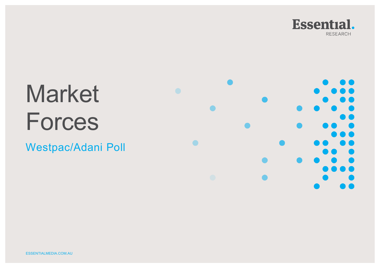

# Market Forces

Westpac/Adani Poll

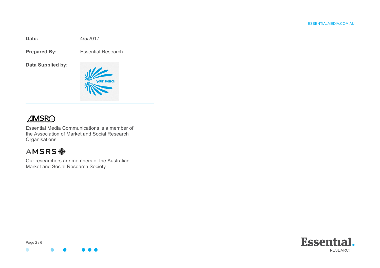



Essential Media Communications is a member of the Association of Market and Social Research **Organisations** 

## AMSRS <

Our researchers are members of the Australian Market and Social Research Society.



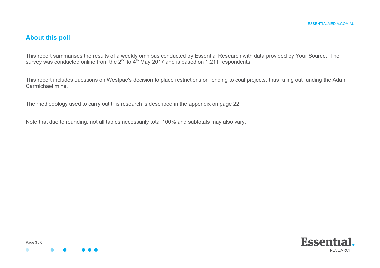#### **About this poll**

This report summarises the results of a weekly omnibus conducted by Essential Research with data provided by Your Source. The survey was conducted online from the  $2^{nd}$  to  $4^{th}$  May 2017 and is based on 1,211 respondents.

This report includes questions on Westpac's decision to place restrictions on lending to coal projects, thus ruling out funding the Adani Carmichael mine.

The methodology used to carry out this research is described in the appendix on page 22.

Note that due to rounding, not all tables necessarily total 100% and subtotals may also vary.



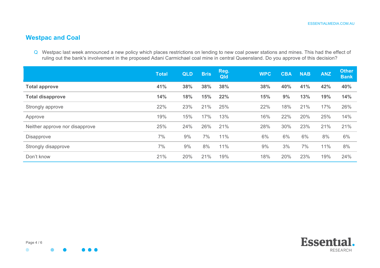## **Westpac and Coal**

Q Westpac last week announced a new policy which places restrictions on lending to new coal power stations and mines. This had the effect of ruling out the bank's involvement in the proposed Adani Carmichael coal mine in central Queensland. Do you approve of this decision?

|                                | <b>Total</b> | <b>QLD</b> | <b>Bris</b> | Reg.<br>Qld | <b>WPC</b> | <b>CBA</b> | <b>NAB</b> | <b>ANZ</b> | <b>Other</b><br><b>Bank</b> |
|--------------------------------|--------------|------------|-------------|-------------|------------|------------|------------|------------|-----------------------------|
| <b>Total approve</b>           | 41%          | 38%        | 38%         | 38%         | 38%        | 40%        | 41%        | 42%        | 40%                         |
| <b>Total disapprove</b>        | 14%          | 18%        | 15%         | 22%         | 15%        | 9%         | 13%        | 19%        | 14%                         |
| Strongly approve               | 22%          | 23%        | 21%         | 25%         | 22%        | 18%        | 21%        | 17%        | 26%                         |
| Approve                        | 19%          | 15%        | 17%         | 13%         | 16%        | 22%        | 20%        | 25%        | 14%                         |
| Neither approve nor disapprove | 25%          | 24%        | 26%         | 21%         | 28%        | 30%        | 23%        | 21%        | 21%                         |
| <b>Disapprove</b>              | 7%           | 9%         | 7%          | 11%         | 6%         | 6%         | 6%         | 8%         | 6%                          |
| Strongly disapprove            | 7%           | 9%         | 8%          | 11%         | 9%         | 3%         | 7%         | 11%        | 8%                          |
| Don't know                     | 21%          | 20%        | 21%         | 19%         | 18%        | 20%        | 23%        | 19%        | 24%                         |



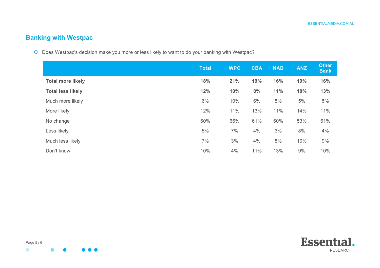## **Banking with Westpac**

Q Does Westpac's decision make you more or less likely to want to do your banking with Westpac?

|                          | <b>Total</b> | <b>WPC</b> | <b>CBA</b> | <b>NAB</b> | <b>ANZ</b> | <b>Other</b><br><b>Bank</b> |
|--------------------------|--------------|------------|------------|------------|------------|-----------------------------|
| <b>Total more likely</b> | 18%          | 21%        | 19%        | 16%        | 19%        | 16%                         |
| <b>Total less likely</b> | 12%          | 10%        | 8%         | 11%        | 18%        | 13%                         |
| Much more likely         | 6%           | 10%        | 6%         | 5%         | 5%         | 5%                          |
| More likely              | 12%          | 11%        | 13%        | 11%        | 14%        | 11%                         |
| No change                | 60%          | 66%        | 61%        | 60%        | 53%        | 61%                         |
| Less likely              | 5%           | 7%         | 4%         | 3%         | 8%         | 4%                          |
| Much less likely         | 7%           | 3%         | 4%         | 8%         | 10%        | 9%                          |
| Don't know               | 10%          | 4%         | 11%        | 13%        | 9%         | 10%                         |